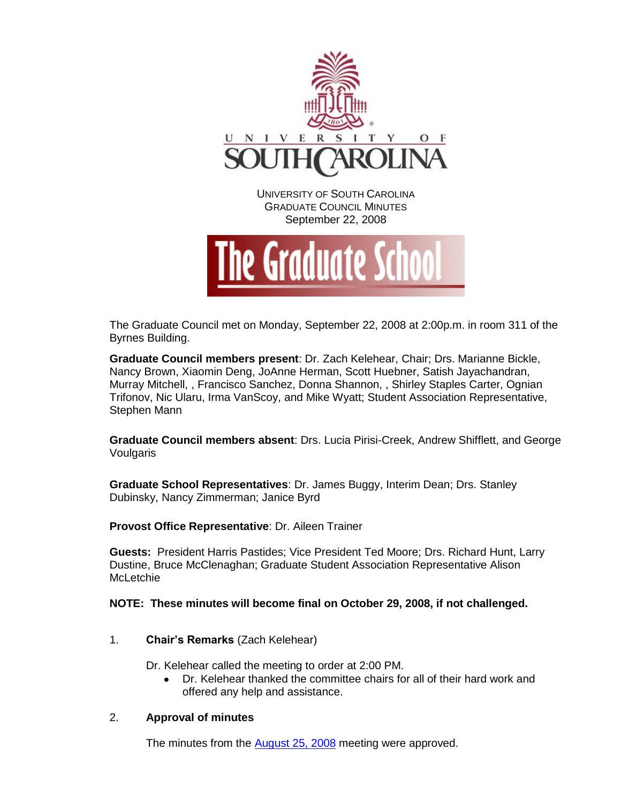



The Graduate Council met on Monday, September 22, 2008 at 2:00p.m. in room 311 of the Byrnes Building.

**Graduate Council members present**: Dr. Zach Kelehear, Chair; Drs. Marianne Bickle, Nancy Brown, Xiaomin Deng, JoAnne Herman, Scott Huebner, Satish Jayachandran, Murray Mitchell, , Francisco Sanchez, Donna Shannon, , Shirley Staples Carter, Ognian Trifonov, Nic Ularu, Irma VanScoy, and Mike Wyatt; Student Association Representative, Stephen Mann

**Graduate Council members absent**: Drs. Lucia Pirisi-Creek, Andrew Shifflett, and George Voulgaris

**Graduate School Representatives**: Dr. James Buggy, Interim Dean; Drs. Stanley Dubinsky, Nancy Zimmerman; Janice Byrd

**Provost Office Representative**: Dr. Aileen Trainer

**Guests:** President Harris Pastides; Vice President Ted Moore; Drs. Richard Hunt, Larry Dustine, Bruce McClenaghan; Graduate Student Association Representative Alison **McLetchie** 

**NOTE: These minutes will become final on October 29, 2008, if not challenged.**

1. **Chair's Remarks** (Zach Kelehear)

Dr. Kelehear called the meeting to order at 2:00 PM.

Dr. Kelehear thanked the committee chairs for all of their hard work and  $\bullet$ offered any help and assistance.

# 2. **Approval of minutes**

The minutes from the [August 25, 2008](../08-25-08/Minutes%20(August%2025,%202008).pdf) meeting were approved.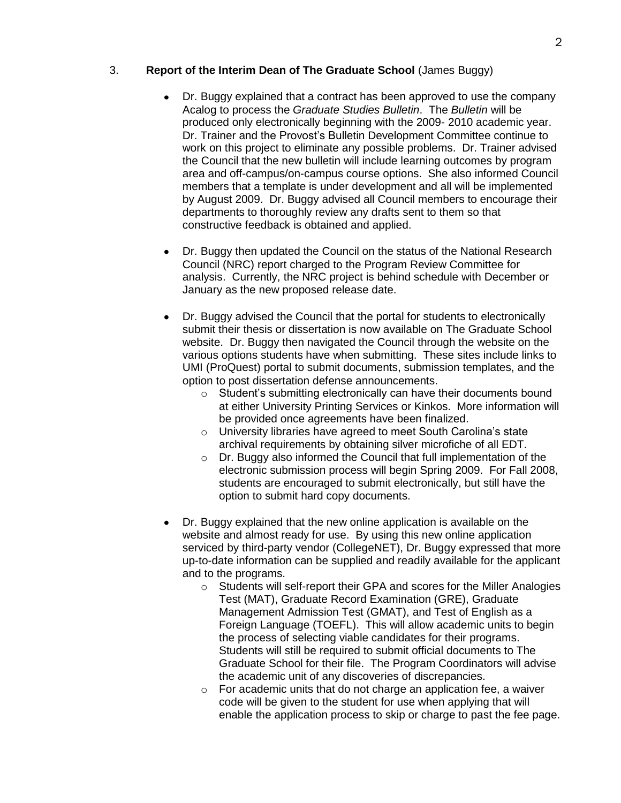# 3. **Report of the Interim Dean of The Graduate School** (James Buggy)

- Dr. Buggy explained that a contract has been approved to use the company  $\bullet$ Acalog to process the *Graduate Studies Bulletin*. The *Bulletin* will be produced only electronically beginning with the 2009- 2010 academic year. Dr. Trainer and the Provost's Bulletin Development Committee continue to work on this project to eliminate any possible problems. Dr. Trainer advised the Council that the new bulletin will include learning outcomes by program area and off-campus/on-campus course options. She also informed Council members that a template is under development and all will be implemented by August 2009. Dr. Buggy advised all Council members to encourage their departments to thoroughly review any drafts sent to them so that constructive feedback is obtained and applied.
- Dr. Buggy then updated the Council on the status of the National Research Council (NRC) report charged to the Program Review Committee for analysis. Currently, the NRC project is behind schedule with December or January as the new proposed release date.
- Dr. Buggy advised the Council that the portal for students to electronically submit their thesis or dissertation is now available on The Graduate School website. Dr. Buggy then navigated the Council through the website on the various options students have when submitting. These sites include links to UMI (ProQuest) portal to submit documents, submission templates, and the option to post dissertation defense announcements.
	- o Student's submitting electronically can have their documents bound at either University Printing Services or Kinkos. More information will be provided once agreements have been finalized.
	- o University libraries have agreed to meet South Carolina's state archival requirements by obtaining silver microfiche of all EDT.
	- o Dr. Buggy also informed the Council that full implementation of the electronic submission process will begin Spring 2009. For Fall 2008, students are encouraged to submit electronically, but still have the option to submit hard copy documents.
- Dr. Buggy explained that the new online application is available on the website and almost ready for use. By using this new online application serviced by third-party vendor (CollegeNET), Dr. Buggy expressed that more up-to-date information can be supplied and readily available for the applicant and to the programs.
	- o Students will self-report their GPA and scores for the Miller Analogies Test (MAT), Graduate Record Examination (GRE), Graduate Management Admission Test (GMAT), and Test of English as a Foreign Language (TOEFL). This will allow academic units to begin the process of selecting viable candidates for their programs. Students will still be required to submit official documents to The Graduate School for their file. The Program Coordinators will advise the academic unit of any discoveries of discrepancies.
	- $\circ$  For academic units that do not charge an application fee, a waiver code will be given to the student for use when applying that will enable the application process to skip or charge to past the fee page.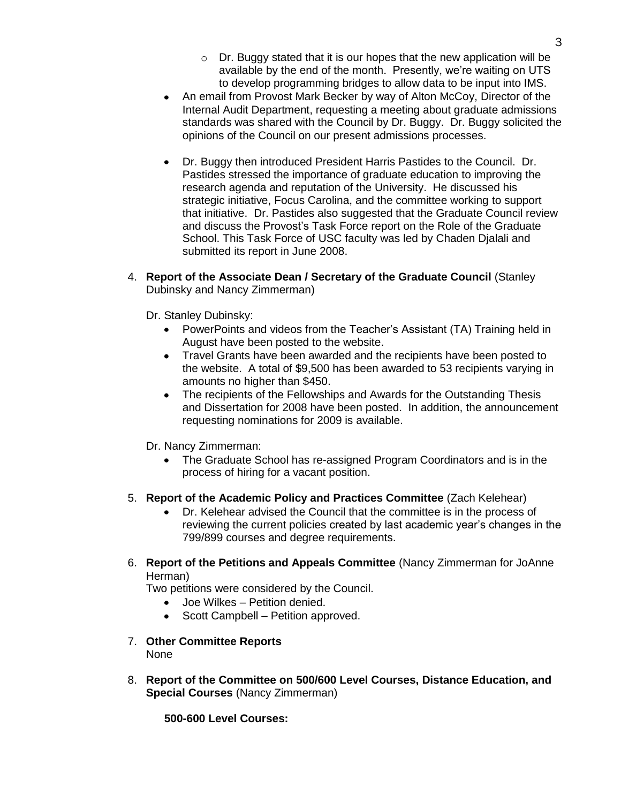- o Dr. Buggy stated that it is our hopes that the new application will be available by the end of the month. Presently, we're waiting on UTS to develop programming bridges to allow data to be input into IMS.
- An email from Provost Mark Becker by way of Alton McCoy, Director of the Internal Audit Department, requesting a meeting about graduate admissions standards was shared with the Council by Dr. Buggy. Dr. Buggy solicited the opinions of the Council on our present admissions processes.
- Dr. Buggy then introduced President Harris Pastides to the Council. Dr. Pastides stressed the importance of graduate education to improving the research agenda and reputation of the University. He discussed his strategic initiative, Focus Carolina, and the committee working to support that initiative. Dr. Pastides also suggested that the Graduate Council review and discuss the Provost's Task Force report on the Role of the Graduate School. This Task Force of USC faculty was led by Chaden Djalali and submitted its report in June 2008.
- 4. **Report of the Associate Dean / Secretary of the Graduate Council** (Stanley Dubinsky and Nancy Zimmerman)
	- Dr. Stanley Dubinsky:
		- PowerPoints and videos from the Teacher's Assistant (TA) Training held in August have been posted to the website.
		- Travel Grants have been awarded and the recipients have been posted to the website. A total of \$9,500 has been awarded to 53 recipients varying in amounts no higher than \$450.
		- The recipients of the Fellowships and Awards for the Outstanding Thesis and Dissertation for 2008 have been posted. In addition, the announcement requesting nominations for 2009 is available.
	- Dr. Nancy Zimmerman:
		- The Graduate School has re-assigned Program Coordinators and is in the process of hiring for a vacant position.
- 5. **Report of the Academic Policy and Practices Committee** (Zach Kelehear)
	- Dr. Kelehear advised the Council that the committee is in the process of reviewing the current policies created by last academic year's changes in the 799/899 courses and degree requirements.
- 6. **Report of the Petitions and Appeals Committee** (Nancy Zimmerman for JoAnne Herman)

Two petitions were considered by the Council.

- Joe Wilkes Petition denied.
- Scott Campbell Petition approved.
- 7. **Other Committee Reports** None
- 8. **Report of the Committee on 500/600 Level Courses, Distance Education, and Special Courses** (Nancy Zimmerman)

**500-600 Level Courses:**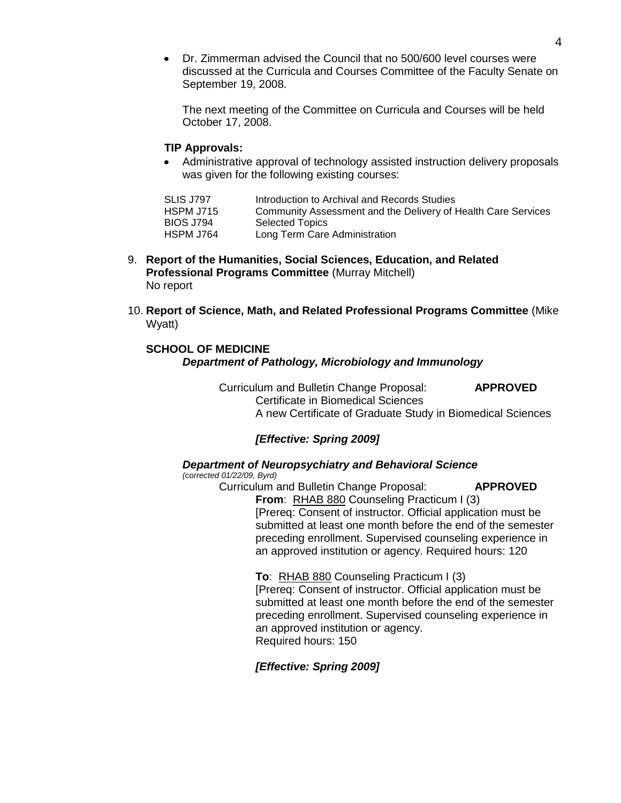Dr. Zimmerman advised the Council that no 500/600 level courses were discussed at the Curricula and Courses Committee of the Faculty Senate on September 19, 2008.

The next meeting of the Committee on Curricula and Courses will be held October 17, 2008.

# **TIP Approvals:**

Administrative approval of technology assisted instruction delivery proposals was given for the following existing courses:

| SLIS J797        | Introduction to Archival and Records Studies                  |
|------------------|---------------------------------------------------------------|
| HSPM J715        | Community Assessment and the Delivery of Health Care Services |
| <b>BIOS J794</b> | <b>Selected Topics</b>                                        |
| HSPM J764        | Long Term Care Administration                                 |

- 9. **Report of the Humanities, Social Sciences, Education, and Related Professional Programs Committee** (Murray Mitchell) No report
- 10. **Report of Science, Math, and Related Professional Programs Committee** (Mike Wyatt)

# **SCHOOL OF MEDICINE**

### *Department of Pathology, Microbiology and Immunology*

Curriculum and Bulletin Change Proposal: **APPROVED** Certificate in Biomedical Sciences A new Certificate of Graduate Study in Biomedical Sciences

# *[Effective: Spring 2009]*

# *Department of Neuropsychiatry and Behavioral Science*

*(corrected 01/22/09, Byrd)*

Curriculum and Bulletin Change Proposal: **APPROVED From**: RHAB 880 Counseling Practicum I (3) [Prereq: Consent of instructor. Official application must be submitted at least one month before the end of the semester

preceding enrollment. Supervised counseling experience in an approved institution or agency. Required hours: 120

#### **To**: RHAB 880 Counseling Practicum I (3)

[Prereq: Consent of instructor. Official application must be submitted at least one month before the end of the semester preceding enrollment. Supervised counseling experience in an approved institution or agency. Required hours: 150

# *[Effective: Spring 2009]*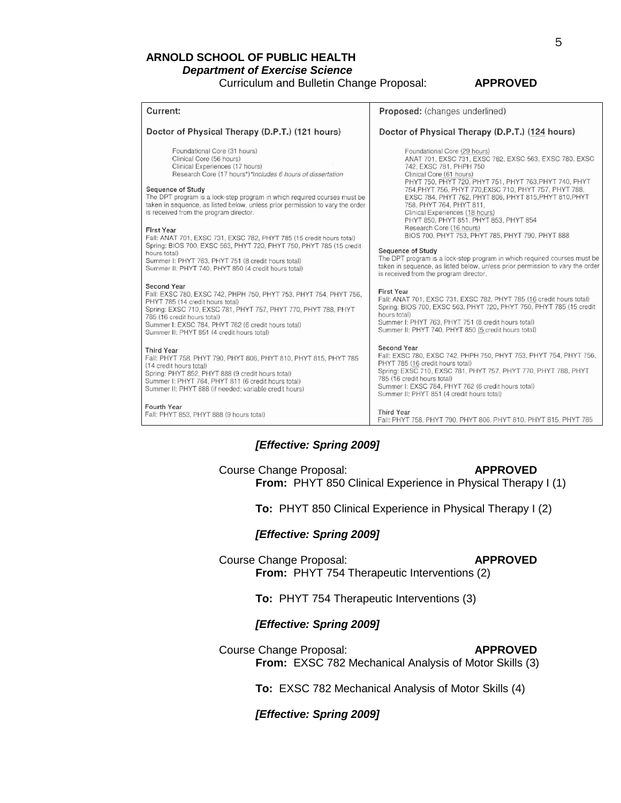### **ARNOLD SCHOOL OF PUBLIC HEALTH** *Department of Exercise Science* Curriculum and Bulletin Change Proposal: **APPROVED**

| Current:                                                                                                                                                                                                                                                                                                                                                                                                                                                                                                                                                                                                                                                                                 | Proposed: (changes underlined)                                                                                                                                                                                                                                                                                                                                                                                                                                                                                                                                                                                                                                                                                                                          |  |
|------------------------------------------------------------------------------------------------------------------------------------------------------------------------------------------------------------------------------------------------------------------------------------------------------------------------------------------------------------------------------------------------------------------------------------------------------------------------------------------------------------------------------------------------------------------------------------------------------------------------------------------------------------------------------------------|---------------------------------------------------------------------------------------------------------------------------------------------------------------------------------------------------------------------------------------------------------------------------------------------------------------------------------------------------------------------------------------------------------------------------------------------------------------------------------------------------------------------------------------------------------------------------------------------------------------------------------------------------------------------------------------------------------------------------------------------------------|--|
| Doctor of Physical Therapy (D.P.T.) (121 hours)                                                                                                                                                                                                                                                                                                                                                                                                                                                                                                                                                                                                                                          | Doctor of Physical Therapy (D.P.T.) (124 hours)                                                                                                                                                                                                                                                                                                                                                                                                                                                                                                                                                                                                                                                                                                         |  |
| Foundational Core (31 hours)<br>Clinical Core (56 hours)<br>Clinical Experiences (17 hours)<br>Research Core (17 hours*)*Includes 6 hours of dissertation<br>Sequence of Study<br>The DPT program is a lock-step program in which required courses must be<br>taken in sequence, as listed below, unless prior permission to vary the order<br>is received from the program director.<br><b>First Year</b><br>Fall: ANAT 701, EXSC 731, EXSC 782, PHYT 785 (15 credit hours total)<br>Spring: BIOS 700, EXSC 563, PHYT 720, PHYT 750, PHYT 785 (15 credit<br>hours total)<br>Summer I: PHYT 763, PHYT 751 (8 credit hours total)<br>Summer II: PHYT 740, PHYT 850 (4 credit hours total) | Foundational Core (29 hours)<br>ANAT 701, EXSC 731, EXSC 782, EXSC 563, EXSC 780, EXSC<br>742, EXSC 781, PHPH 750<br>Clinical Core (61 hours)<br>PHYT 750, PHYT 720, PHYT 751, PHYT 763, PHYT 740, PHYT<br>754. PHYT 756, PHYT 770. EXSC 710, PHYT 757, PHYT 788,<br>EXSC 784, PHYT 762, PHYT 806, PHYT 815, PHYT 810, PHYT<br>758, PHYT 764, PHYT 811.<br>Clinical Experiences (18 hours)<br>PHYT 850, PHYT 851, PHYT 853, PHYT 854<br>Research Core (16 hours)<br>BIOS 700, PHYT 753, PHYT 785, PHYT 790, PHYT 888<br><b>Sequence of Study</b><br>The DPT program is a lock-step program in which required courses must be<br>taken in sequence, as listed below, unless prior permission to vary the order<br>is received from the program director. |  |
| <b>Second Year</b><br>Fall: EXSC 780, EXSC 742, PHPH 750, PHYT 753, PHYT 754, PHYT 756,<br>PHYT 785 (14 credit hours total)<br>Spring: EXSC 710, EXSC 781, PHYT 757, PHYT 770, PHYT 788, PHYT<br>785 (16 credit hours total)<br>Summer I: EXSC 784, PHYT 762 (6 credit hours total)<br>Summer II: PHYT 851 (4 credit hours total)                                                                                                                                                                                                                                                                                                                                                        | <b>First Year</b><br>Fall: ANAT 701, EXSC 731, EXSC 782, PHYT 785 (16 credit hours total)<br>Spring: BIOS 700, EXSC 563, PHYT 720, PHYT 750, PHYT 785 (15 credit<br>hours total)<br>Summer I: PHYT 763, PHYT 751 (8 credit hours total)<br>Summer II: PHYT 740, PHYT 850 (5 credit hours total)                                                                                                                                                                                                                                                                                                                                                                                                                                                         |  |
| <b>Third Year</b><br>Fall: PHYT 758, PHYT 790, PHYT 806, PHYT 810, PHYT 815, PHYT 785<br>(14 credit hours total)<br>Spring: PHYT 852, PHYT 888 (9 credit hours total)<br>Summer I: PHYT 764, PHYT 811 (6 credit hours total)<br>Summer II: PHYT 888 (if needed; variable credit hours)                                                                                                                                                                                                                                                                                                                                                                                                   | Second Year<br>Fall: EXSC 780, EXSC 742, PHPH 750, PHYT 753, PHYT 754, PHYT 756,<br>PHYT 785 (16 credit hours total)<br>Spring: EXSC 710, EXSC 781, PHYT 757, PHYT 770, PHYT 788, PHYT<br>785 (16 credit hours total)<br>Summer I: EXSC 784, PHYT 762 (6 credit hours total)<br>Summer II: PHYT 851 (4 credit hours total)                                                                                                                                                                                                                                                                                                                                                                                                                              |  |
| Fourth Year<br>Fall: PHYT 853, PHYT 888 (9 hours total)                                                                                                                                                                                                                                                                                                                                                                                                                                                                                                                                                                                                                                  | <b>Third Year</b><br>Fall: PHYT 758, PHYT 790, PHYT 806, PHYT 810, PHYT 815, PHYT 785                                                                                                                                                                                                                                                                                                                                                                                                                                                                                                                                                                                                                                                                   |  |

# *[Effective: Spring 2009]*

# Course Change Proposal: **APPROVED From:** PHYT 850 Clinical Experience in Physical Therapy I (1)

**To:** PHYT 850 Clinical Experience in Physical Therapy I (2)

#### *[Effective: Spring 2009]*

Course Change Proposal: **APPROVED From:** PHYT 754 Therapeutic Interventions (2)

# **To:** PHYT 754 Therapeutic Interventions (3)

# *[Effective: Spring 2009]*

Course Change Proposal: **APPROVED From:** EXSC 782 Mechanical Analysis of Motor Skills (3)

**To:** EXSC 782 Mechanical Analysis of Motor Skills (4)

# *[Effective: Spring 2009]*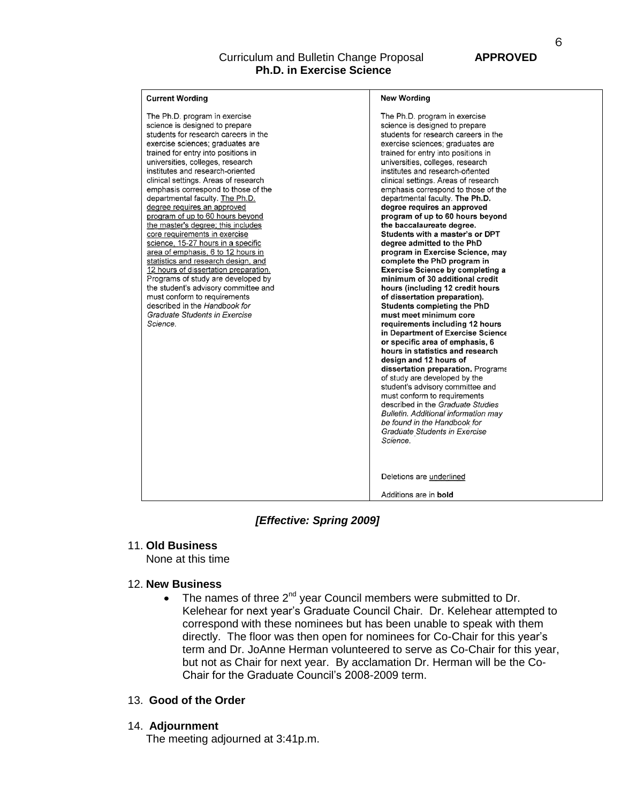# Curriculum and Bulletin Change Proposal **APPROVED Ph.D. in Exercise Science**

| <b>Current Wording</b>                                                                                                                                                                                                                                                                                                                                                                                                                                                                                                                                                                                                                                                                                                                                                                                                                                                         | <b>New Wording</b>                                                                                                                                                                                                                                                                                                                                                                                                                                                                                                                                                                                                                                                                                                                                                                                                                                                                                                                                                                                                                                                                                                                                                                                                                                                                                                                           |
|--------------------------------------------------------------------------------------------------------------------------------------------------------------------------------------------------------------------------------------------------------------------------------------------------------------------------------------------------------------------------------------------------------------------------------------------------------------------------------------------------------------------------------------------------------------------------------------------------------------------------------------------------------------------------------------------------------------------------------------------------------------------------------------------------------------------------------------------------------------------------------|----------------------------------------------------------------------------------------------------------------------------------------------------------------------------------------------------------------------------------------------------------------------------------------------------------------------------------------------------------------------------------------------------------------------------------------------------------------------------------------------------------------------------------------------------------------------------------------------------------------------------------------------------------------------------------------------------------------------------------------------------------------------------------------------------------------------------------------------------------------------------------------------------------------------------------------------------------------------------------------------------------------------------------------------------------------------------------------------------------------------------------------------------------------------------------------------------------------------------------------------------------------------------------------------------------------------------------------------|
| The Ph.D. program in exercise<br>science is designed to prepare<br>students for research careers in the<br>exercise sciences; graduates are<br>trained for entry into positions in<br>universities, colleges, research<br>institutes and research-oriented<br>clinical settings. Areas of research<br>emphasis correspond to those of the<br>departmental faculty. The Ph.D.<br>degree requires an approved<br>program of up to 60 hours beyond<br>the master's degree; this includes<br>core requirements in exercise<br>science, 15-27 hours in a specific<br>area of emphasis, 6 to 12 hours in<br>statistics and research design, and<br>12 hours of dissertation preparation.<br>Programs of study are developed by<br>the student's advisory committee and<br>must conform to requirements<br>described in the Handbook for<br>Graduate Students in Exercise<br>Science. | The Ph.D. program in exercise<br>science is designed to prepare<br>students for research careers in the<br>exercise sciences; graduates are<br>trained for entry into positions in<br>universities, colleges, research<br>institutes and research-onented<br>clinical settings. Areas of research<br>emphasis correspond to those of the<br>departmental faculty. The Ph.D.<br>degree requires an approved<br>program of up to 60 hours beyond<br>the baccalaureate degree.<br>Students with a master's or DPT<br>degree admitted to the PhD<br>program in Exercise Science, may<br>complete the PhD program in<br><b>Exercise Science by completing a</b><br>minimum of 30 additional credit<br>hours (including 12 credit hours<br>of dissertation preparation).<br>Students completing the PhD<br>must meet minimum core<br>requirements including 12 hours<br>in Department of Exercise Science<br>or specific area of emphasis, 6<br>hours in statistics and research<br>design and 12 hours of<br>dissertation preparation. Programs<br>of study are developed by the<br>student's advisory committee and<br>must conform to requirements<br>described in the Graduate Studies<br><b>Bulletin. Additional information may</b><br>be found in the Handbook for<br>Graduate Students in Exercise<br>Science.<br>Deletions are underlined |
|                                                                                                                                                                                                                                                                                                                                                                                                                                                                                                                                                                                                                                                                                                                                                                                                                                                                                | Additions are in <b>bold</b>                                                                                                                                                                                                                                                                                                                                                                                                                                                                                                                                                                                                                                                                                                                                                                                                                                                                                                                                                                                                                                                                                                                                                                                                                                                                                                                 |

# *[Effective: Spring 2009]*

# 11. **Old Business**

None at this time

# 12. **New Business**

The names of three  $2^{nd}$  year Council members were submitted to Dr.  $\bullet$ Kelehear for next year's Graduate Council Chair. Dr. Kelehear attempted to correspond with these nominees but has been unable to speak with them directly. The floor was then open for nominees for Co-Chair for this year's term and Dr. JoAnne Herman volunteered to serve as Co-Chair for this year, but not as Chair for next year. By acclamation Dr. Herman will be the Co-Chair for the Graduate Council's 2008-2009 term.

# 13. **Good of the Order**

# 14. **Adjournment**

The meeting adjourned at 3:41p.m.